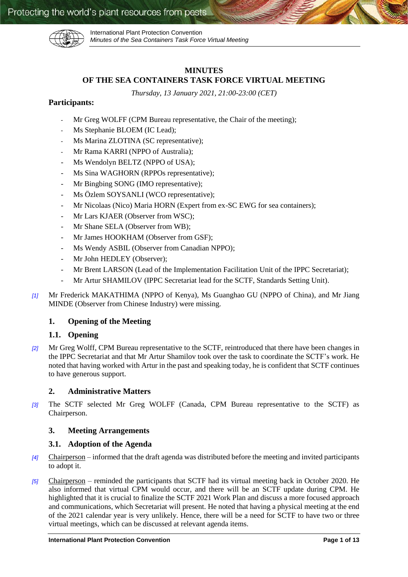

International Plant Protection Convention *Minutes of the Sea Containers Task Force Virtual Meeting*

# **MINUTES OF THE SEA CONTAINERS TASK FORCE VIRTUAL MEETING**

*Thursday, 13 January 2021, 21:00-23:00 (CET)*

# **Participants:**

- Mr Greg WOLFF (CPM Bureau representative, the Chair of the meeting);
- Ms Stephanie BLOEM (IC Lead);
- Ms Marina ZLOTINA (SC representative);
- Mr Rama KARRI (NPPO of Australia);
- Ms Wendolyn BELTZ (NPPO of USA);
- Ms Sina WAGHORN (RPPOs representative);
- Mr Bingbing SONG (IMO representative);
- Ms Özlem SOYSANLI (WCO representative);
- Mr Nicolaas (Nico) Maria HORN (Expert from ex-SC EWG for sea containers);
- Mr Lars KJAER (Observer from WSC);
- Mr Shane SELA (Observer from WB);
- Mr James HOOKHAM (Observer from GSF);
- Ms Wendy ASBIL (Observer from Canadian NPPO);
- Mr John HEDLEY (Observer);
- Mr Brent LARSON (Lead of the Implementation Facilitation Unit of the IPPC Secretariat);
- Mr Artur SHAMILOV (IPPC Secretariat lead for the SCTF, Standards Setting Unit).
- *[1]* Mr Frederick MAKATHIMA (NPPO of Kenya), Ms Guanghao GU (NPPO of China), and Mr Jiang MINDE (Observer from Chinese Industry) were missing.

# **1. Opening of the Meeting**

# **1.1. Opening**

*[2]* Mr Greg Wolff, CPM Bureau representative to the SCTF, reintroduced that there have been changes in the IPPC Secretariat and that Mr Artur Shamilov took over the task to coordinate the SCTF's work. He noted that having worked with Artur in the past and speaking today, he is confident that SCTF continues to have generous support.

# **2. Administrative Matters**

*[3]* The SCTF selected Mr Greg WOLFF (Canada, CPM Bureau representative to the SCTF) as Chairperson.

# **3. Meeting Arrangements**

# **3.1. Adoption of the Agenda**

- *[4]* Chairperson informed that the draft agenda was distributed before the meeting and invited participants to adopt it.
- *[5]* Chairperson reminded the participants that SCTF had its virtual meeting back in October 2020. He also informed that virtual CPM would occur, and there will be an SCTF update during CPM. He highlighted that it is crucial to finalize the SCTF 2021 Work Plan and discuss a more focused approach and communications, which Secretariat will present. He noted that having a physical meeting at the end of the 2021 calendar year is very unlikely. Hence, there will be a need for SCTF to have two or three virtual meetings, which can be discussed at relevant agenda items.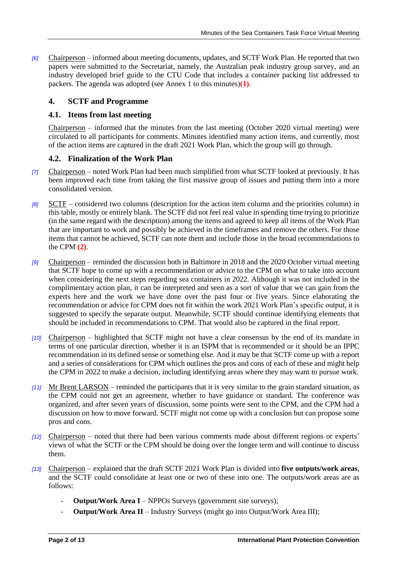*[6]* Chairperson – informed about meeting documents, updates, and SCTF Work Plan. He reported that two papers were submitted to the Secretariat, namely, the Australian peak industry group survey, and an industry developed brief guide to the CTU Code that includes a container packing list addressed to packers. The agenda was adopted (see Annex 1 to this minutes)**[\(1\)](#page-11-0)**.

# **4. SCTF and Programme**

# **4.1. Items from last meeting**

Chairperson – informed that the minutes from the last meeting (October 2020 virtual meeting) were circulated to all participants for comments. Minutes identified many action items, and currently, most of the action items are captured in the draft 2021 Work Plan, which the group will go through.

# **4.2. Finalization of the Work Plan**

- *[7]* Chairperson noted Work Plan had been much simplified from what SCTF looked at previously. It has been improved each time from taking the first massive group of issues and putting them into a more consolidated version.
- *[8]* SCTF considered two columns (description for the action item column and the priorities column) in this table, mostly or entirely blank. The SCTF did not feel real value in spending time trying to prioritize (in the same regard with the description) among the items and agreed to keep all items of the Work Plan that are important to work and possibly be achieved in the timeframes and remove the others. For those items that cannot be achieved, SCTF can note them and include those in the broad recommendations to the CPM **[\(2\)](#page-11-1)**.
- *[9]* Chairperson reminded the discussion both in Baltimore in 2018 and the 2020 October virtual meeting that SCTF hope to come up with a recommendation or advice to the CPM on what to take into account when considering the next steps regarding sea containers in 2022. Although it was not included in the complimentary action plan, it can be interpreted and seen as a sort of value that we can gain from the experts here and the work we have done over the past four or five years. Since elaborating the recommendation or advice for CPM does not fit within the work 2021 Work Plan's specific output, it is suggested to specify the separate output. Meanwhile, SCTF should continue identifying elements that should be included in recommendations to CPM. That would also be captured in the final report.
- *[10]* Chairperson highlighted that SCTF might not have a clear consensus by the end of its mandate in terms of one particular direction, whether it is an ISPM that is recommended or it should be an IPPC recommendation in its defined sense or something else. And it may be that SCTF come up with a report and a series of considerations for CPM which outlines the pros and cons of each of these and might help the CPM in 2022 to make a decision, including identifying areas where they may want to pursue work.
- *[11]* Mr Brent LARSON reminded the participants that it is very similar to the grain standard situation, as the CPM could not get an agreement, whether to have guidance or standard. The conference was organized, and after seven years of discussion, some points were sent to the CPM, and the CPM had a discussion on how to move forward. SCTF might not come up with a conclusion but can propose some pros and cons.
- *[12]* Chairperson noted that there had been various comments made about different regions or experts' views of what the SCTF or the CPM should be doing over the longer term and will continue to discuss them.
- *[13]* Chairperson explained that the draft SCTF 2021 Work Plan is divided into **five outputs/work areas**, and the SCTF could consolidate at least one or two of these into one. The outputs/work areas are as follows:
	- **Output/Work Area I** NPPOs Surveys (government site surveys);
	- **Output/Work Area II** Industry Surveys (might go into Output/Work Area III);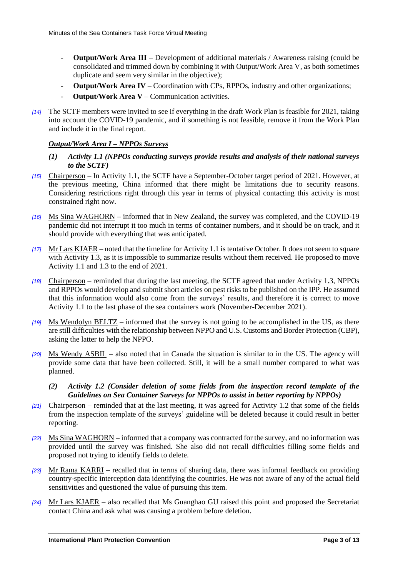- **Output/Work Area III**  Development of additional materials / Awareness raising (could be consolidated and trimmed down by combining it with Output/Work Area V, as both sometimes duplicate and seem very similar in the objective);
- **Output/Work Area IV**  Coordination with CPs, RPPOs, industry and other organizations;
- **Output/Work Area V** Communication activities.
- *[14]* The SCTF members were invited to see if everything in the draft Work Plan is feasible for 2021, taking into account the COVID-19 pandemic, and if something is not feasible, remove it from the Work Plan and include it in the final report.

#### *Output/Work Area I – NPPOs Surveys*

- *(1) Activity 1.1 (NPPOs conducting surveys provide results and analysis of their national surveys to the SCTF)*
- *[15]* Chairperson In Activity 1.1, the SCTF have a September-October target period of 2021. However, at the previous meeting, China informed that there might be limitations due to security reasons. Considering restrictions right through this year in terms of physical contacting this activity is most constrained right now.
- *[16]* Ms Sina WAGHORN **–** informed that in New Zealand, the survey was completed, and the COVID-19 pandemic did not interrupt it too much in terms of container numbers, and it should be on track, and it should provide with everything that was anticipated.
- *[17]* Mr Lars KJAER noted that the timeline for Activity 1.1 is tentative October. It does not seem to square with Activity 1.3, as it is impossible to summarize results without them received. He proposed to move Activity 1.1 and 1.3 to the end of 2021.
- *[18]* Chairperson reminded that during the last meeting, the SCTF agreed that under Activity 1.3, NPPOs and RPPOs would develop and submit short articles on pest risks to be published on the IPP. He assumed that this information would also come from the surveys' results, and therefore it is correct to move Activity 1.1 to the last phase of the sea containers work (November-December 2021).
- *[19]* Ms Wendolyn BELTZ informed that the survey is not going to be accomplished in the US, as there are still difficulties with the relationship between NPPO and U.S. Customs and Border Protection (CBP), asking the latter to help the NPPO.
- *[20]* Ms Wendy ASBIL also noted that in Canada the situation is similar to in the US. The agency will provide some data that have been collected. Still, it will be a small number compared to what was planned.
	- *(2) Activity 1.2 (Consider deletion of some fields from the inspection record template of the Guidelines on Sea Container Surveys for NPPOs to assist in better reporting by NPPOs)*
- *[21]* Chairperson reminded that at the last meeting, it was agreed for Activity 1.2 that some of the fields from the inspection template of the surveys' guideline will be deleted because it could result in better reporting.
- *[22]* Ms Sina WAGHORN **–** informed that a company was contracted for the survey, and no information was provided until the survey was finished. She also did not recall difficulties filling some fields and proposed not trying to identify fields to delete.
- *[23]* Mr Rama KARRI **–** recalled that in terms of sharing data, there was informal feedback on providing country-specific interception data identifying the countries. He was not aware of any of the actual field sensitivities and questioned the value of pursuing this item.
- *[24]* Mr Lars KJAER also recalled that Ms Guanghao GU raised this point and proposed the Secretariat contact China and ask what was causing a problem before deletion.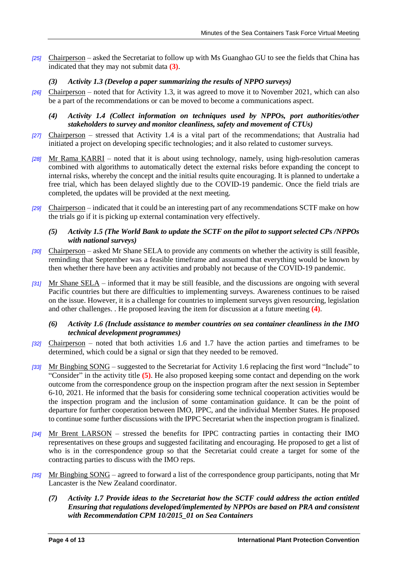*[25]* Chairperson – asked the Secretariat to follow up with Ms Guanghao GU to see the fields that China has indicated that they may not submit data **[\(3\)](#page-11-2)**.

# *(3) Activity 1.3 (Develop a paper summarizing the results of NPPO surveys)*

- *[26]* Chairperson noted that for Activity 1.3, it was agreed to move it to November 2021, which can also be a part of the recommendations or can be moved to become a communications aspect.
	- *(4) Activity 1.4 (Collect information on techniques used by NPPOs, port authorities/other stakeholders to survey and monitor cleanliness, safety and movement of CTUs)*
- *[27]* Chairperson stressed that Activity 1.4 is a vital part of the recommendations; that Australia had initiated a project on developing specific technologies; and it also related to customer surveys.
- *[28]* Mr Rama KARRI noted that it is about using technology, namely, using high-resolution cameras combined with algorithms to automatically detect the external risks before expanding the concept to internal risks, whereby the concept and the initial results quite encouraging. It is planned to undertake a free trial, which has been delayed slightly due to the COVID-19 pandemic. Once the field trials are completed, the updates will be provided at the next meeting.
- *[29]* Chairperson indicated that it could be an interesting part of any recommendations SCTF make on how the trials go if it is picking up external contamination very effectively.

### *(5) Activity 1.5 (The World Bank to update the SCTF on the pilot to support selected CPs /NPPOs with national surveys)*

- *[30]* Chairperson asked Mr Shane SELA to provide any comments on whether the activity is still feasible, reminding that September was a feasible timeframe and assumed that everything would be known by then whether there have been any activities and probably not because of the COVID-19 pandemic.
- *[31]* Mr Shane SELA informed that it may be still feasible, and the discussions are ongoing with several Pacific countries but there are difficulties to implementing surveys. Awareness continues to be raised on the issue. However, it is a challenge for countries to implement surveys given resourcing, legislation and other challenges. . He proposed leaving the item for discussion at a future meeting **[\(4\)](#page-11-3)**.

#### *(6) Activity 1.6 (Include assistance to member countries on sea container cleanliness in the IMO technical development programmes)*

- *[32]* Chairperson noted that both activities 1.6 and 1.7 have the action parties and timeframes to be determined, which could be a signal or sign that they needed to be removed.
- *[33]* Mr Bingbing SONG suggested to the Secretariat for Activity 1.6 replacing the first word "Include" to "Consider" in the activity title **[\(5\)](#page-11-4)**. He also proposed keeping some contact and depending on the work outcome from the correspondence group on the inspection program after the next session in September 6-10, 2021. He informed that the basis for considering some technical cooperation activities would be the inspection program and the inclusion of some contamination guidance. It can be the point of departure for further cooperation between IMO, IPPC, and the individual Member States. He proposed to continue some further discussions with the IPPC Secretariat when the inspection program is finalized.
- *[34]* Mr Brent LARSON stressed the benefits for IPPC contracting parties in contacting their IMO representatives on these groups and suggested facilitating and encouraging. He proposed to get a list of who is in the correspondence group so that the Secretariat could create a target for some of the contracting parties to discuss with the IMO reps.
- *[35]* Mr Bingbing SONG agreed to forward a list of the correspondence group participants, noting that Mr Lancaster is the New Zealand coordinator.
	- *(7) Activity 1.7 Provide ideas to the Secretariat how the SCTF could address the action entitled Ensuring that regulations developed/implemented by NPPOs are based on PRA and consistent with Recommendation CPM 10/2015\_01 on Sea Containers*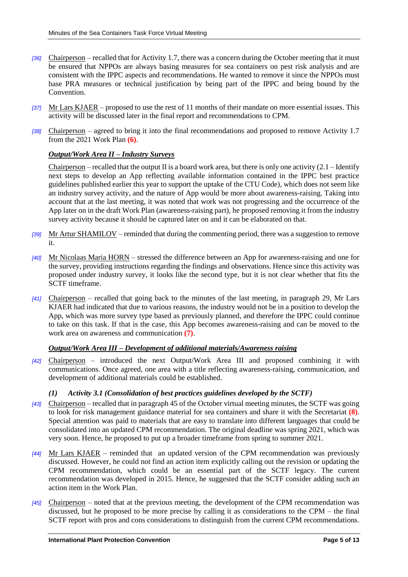- *[36]* Chairperson recalled that for Activity 1.7, there was a concern during the October meeting that it must be ensured that NPPOs are always basing measures for sea containers on pest risk analysis and are consistent with the IPPC aspects and recommendations. He wanted to remove it since the NPPOs must base PRA measures or technical justification by being part of the IPPC and being bound by the Convention.
- *[37]* Mr Lars KJAER proposed to use the rest of 11 months of their mandate on more essential issues. This activity will be discussed later in the final report and recommendations to CPM.
- *[38]* Chairperson agreed to bring it into the final recommendations and proposed to remove Activity 1.7 from the 2021 Work Plan **[\(6\)](#page-11-5)**.

### *Output/Work Area II – Industry Surveys*

Chairperson – recalled that the output II is a board work area, but there is only one activity  $(2.1 -$ Identify next steps to develop an App reflecting available information contained in the IPPC best practice guidelines published earlier this year to support the uptake of the CTU Code), which does not seem like an industry survey activity, and the nature of App would be more about awareness-raising. Taking into account that at the last meeting, it was noted that work was not progressing and the occurrence of the App later on in the draft Work Plan (awareness-raising part), he proposed removing it from the industry survey activity because it should be captured later on and it can be elaborated on that.

- *[39]* Mr Artur SHAMILOV reminded that during the commenting period, there was a suggestion to remove it.
- *[40]* Mr Nicolaas Maria HORN stressed the difference between an App for awareness-raising and one for the survey, providing instructions regarding the findings and observations. Hence since this activity was proposed under industry survey, it looks like the second type, but it is not clear whether that fits the SCTF timeframe.
- *[41]* Chairperson recalled that going back to the minutes of the last meeting, in paragraph 29, Mr Lars KJAER had indicated that due to various reasons, the industry would not be in a position to develop the App, which was more survey type based as previously planned, and therefore the IPPC could continue to take on this task. If that is the case, this App becomes awareness-raising and can be moved to the work area on awareness and communication **[\(7\)](#page-11-6)**.

#### *Output/Work Area III – Development of additional materials/Awareness raising*

*[42]* Chairperson – introduced the next Output/Work Area III and proposed combining it with communications. Once agreed, one area with a title reflecting awareness-raising, communication, and development of additional materials could be established.

#### *(1) Activity 3.1 (Consolidation of best practices guidelines developed by the SCTF)*

- *[43]* Chairperson recalled that in paragraph 45 of the October virtual meeting minutes, the SCTF was going to look for risk management guidance material for sea containers and share it with the Secretariat **[\(8\)](#page-11-7)**. Special attention was paid to materials that are easy to translate into different languages that could be consolidated into an updated CPM recommendation. The original deadline was spring 2021, which was very soon. Hence, he proposed to put up a broader timeframe from spring to summer 2021.
- *[44]* Mr Lars KJAER reminded that an updated version of the CPM recommendation was previously discussed. However, he could not find an action item explicitly calling out the revision or updating the CPM recommendation, which could be an essential part of the SCTF legacy. The current recommendation was developed in 2015. Hence, he suggested that the SCTF consider adding such an action item in the Work Plan.
- *[45]* Chairperson noted that at the previous meeting, the development of the CPM recommendation was discussed, but he proposed to be more precise by calling it as considerations to the CPM – the final SCTF report with pros and cons considerations to distinguish from the current CPM recommendations.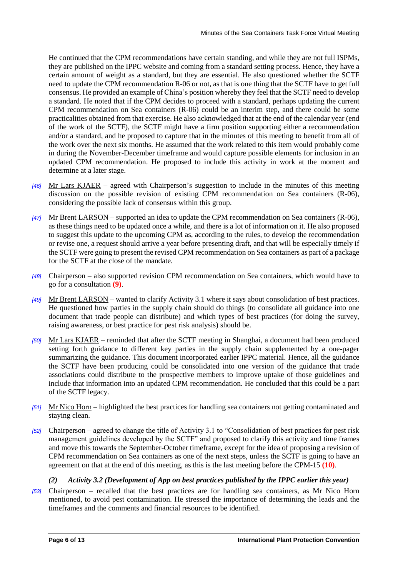He continued that the CPM recommendations have certain standing, and while they are not full ISPMs, they are published on the IPPC website and coming from a standard setting process. Hence, they have a certain amount of weight as a standard, but they are essential. He also questioned whether the SCTF need to update the CPM recommendation R-06 or not, as that is one thing that the SCTF have to get full consensus. He provided an example of China's position whereby they feel that the SCTF need to develop a standard. He noted that if the CPM decides to proceed with a standard, perhaps updating the current CPM recommendation on Sea containers (R-06) could be an interim step, and there could be some practicalities obtained from that exercise. He also acknowledged that at the end of the calendar year (end of the work of the SCTF), the SCTF might have a firm position supporting either a recommendation and/or a standard, and he proposed to capture that in the minutes of this meeting to benefit from all of the work over the next six months. He assumed that the work related to this item would probably come in during the November-December timeframe and would capture possible elements for inclusion in an updated CPM recommendation. He proposed to include this activity in work at the moment and determine at a later stage.

- *[46]* Mr Lars KJAER agreed with Chairperson's suggestion to include in the minutes of this meeting discussion on the possible revision of existing CPM recommendation on Sea containers (R-06), considering the possible lack of consensus within this group.
- *[47]* Mr Brent LARSON supported an idea to update the CPM recommendation on Sea containers (R-06), as these things need to be updated once a while, and there is a lot of information on it. He also proposed to suggest this update to the upcoming CPM as, according to the rules, to develop the recommendation or revise one, a request should arrive a year before presenting draft, and that will be especially timely if the SCTF were going to present the revised CPM recommendation on Sea containers as part of a package for the SCTF at the close of the mandate.
- *[48]* Chairperson also supported revision CPM recommendation on Sea containers, which would have to go for a consultation **[\(9\)](#page-12-0)**.
- *[49]* Mr Brent LARSON wanted to clarify Activity 3.1 where it says about consolidation of best practices. He questioned how parties in the supply chain should do things (to consolidate all guidance into one document that trade people can distribute) and which types of best practices (for doing the survey, raising awareness, or best practice for pest risk analysis) should be.
- *[50]* Mr Lars KJAER reminded that after the SCTF meeting in Shanghai, a document had been produced setting forth guidance to different key parties in the supply chain supplemented by a one-pager summarizing the guidance. This document incorporated earlier IPPC material. Hence, all the guidance the SCTF have been producing could be consolidated into one version of the guidance that trade associations could distribute to the prospective members to improve uptake of those guidelines and include that information into an updated CPM recommendation. He concluded that this could be a part of the SCTF legacy.
- *[51]* Mr Nico Horn highlighted the best practices for handling sea containers not getting contaminated and staying clean.
- *[52]* Chairperson agreed to change the title of Activity 3.1 to "Consolidation of best practices for pest risk management guidelines developed by the SCTF" and proposed to clarify this activity and time frames and move this towards the September-October timeframe, except for the idea of proposing a revision of CPM recommendation on Sea containers as one of the next steps, unless the SCTF is going to have an agreement on that at the end of this meeting, as this is the last meeting before the CPM-15 **[\(10\)](#page-12-1)**.

# *(2) Activity 3.2 (Development of App on best practices published by the IPPC earlier this year)*

*[53]* Chairperson – recalled that the best practices are for handling sea containers, as Mr Nico Horn mentioned, to avoid pest contamination. He stressed the importance of determining the leads and the timeframes and the comments and financial resources to be identified.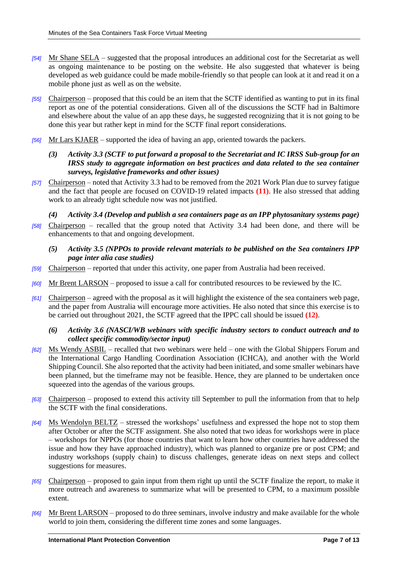- *[54]* Mr Shane SELA suggested that the proposal introduces an additional cost for the Secretariat as well as ongoing maintenance to be posting on the website. He also suggested that whatever is being developed as web guidance could be made mobile-friendly so that people can look at it and read it on a mobile phone just as well as on the website.
- *[55]* Chairperson proposed that this could be an item that the SCTF identified as wanting to put in its final report as one of the potential considerations. Given all of the discussions the SCTF had in Baltimore and elsewhere about the value of an app these days, he suggested recognizing that it is not going to be done this year but rather kept in mind for the SCTF final report considerations.
- *[56]* Mr Lars KJAER supported the idea of having an app, oriented towards the packers.
	- *(3) Activity 3.3 (SCTF to put forward a proposal to the Secretariat and IC IRSS Sub-group for an IRSS study to aggregate information on best practices and data related to the sea container surveys, legislative frameworks and other issues)*
- *[57]* Chairperson noted that Activity 3.3 had to be removed from the 2021 Work Plan due to survey fatigue and the fact that people are focused on COVID-19 related impacts **[\(11\)](#page-12-2)**. He also stressed that adding work to an already tight schedule now was not justified.
- *(4) Activity 3.4 (Develop and publish a sea containers page as an IPP phytosanitary systems page) [58]* Chairperson – recalled that the group noted that Activity 3.4 had been done, and there will be enhancements to that and ongoing development.
	- *(5) Activity 3.5 (NPPOs to provide relevant materials to be published on the Sea containers IPP page inter alia case studies)*
- *[59]* Chairperson reported that under this activity, one paper from Australia had been received.
- *[60]* Mr Brent LARSON proposed to issue a call for contributed resources to be reviewed by the IC.
- *[61]* Chairperson agreed with the proposal as it will highlight the existence of the sea containers web page, and the paper from Australia will encourage more activities. He also noted that since this exercise is to be carried out throughout 2021, the SCTF agreed that the IPPC call should be issued **[\(12\)](#page-12-3)**.

#### *(6) Activity 3.6 (NASCI/WB webinars with specific industry sectors to conduct outreach and to collect specific commodity/sector input)*

- *[62]* Ms Wendy ASBIL recalled that two webinars were held one with the Global Shippers Forum and the International Cargo Handling Coordination Association (ICHCA), and another with the World Shipping Council. She also reported that the activity had been initiated, and some smaller webinars have been planned, but the timeframe may not be feasible. Hence, they are planned to be undertaken once squeezed into the agendas of the various groups.
- *[63]* Chairperson proposed to extend this activity till September to pull the information from that to help the SCTF with the final considerations.
- *[64]* Ms Wendolyn BELTZ stressed the workshops' usefulness and expressed the hope not to stop them after October or after the SCTF assignment. She also noted that two ideas for workshops were in place – workshops for NPPOs (for those countries that want to learn how other countries have addressed the issue and how they have approached industry), which was planned to organize pre or post CPM; and industry workshops (supply chain) to discuss challenges, generate ideas on next steps and collect suggestions for measures.
- *[65]* Chairperson proposed to gain input from them right up until the SCTF finalize the report, to make it more outreach and awareness to summarize what will be presented to CPM, to a maximum possible extent.
- *[66]* Mr Brent LARSON proposed to do three seminars, involve industry and make available for the whole world to join them, considering the different time zones and some languages.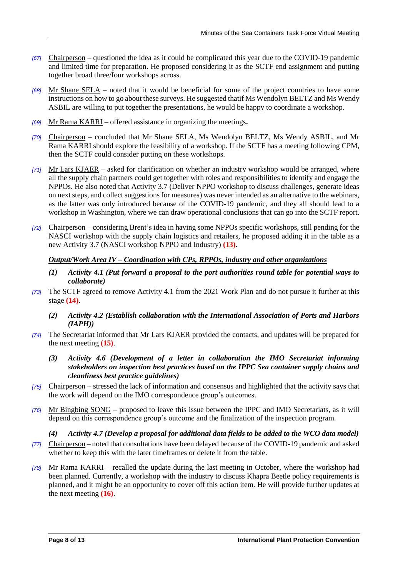- *[67]* Chairperson questioned the idea as it could be complicated this year due to the COVID-19 pandemic and limited time for preparation. He proposed considering it as the SCTF end assignment and putting together broad three/four workshops across.
- *[68]* Mr Shane SELA noted that it would be beneficial for some of the project countries to have some instructions on how to go about these surveys. He suggested thatif Ms Wendolyn BELTZ and Ms Wendy ASBIL are willing to put together the presentations, he would be happy to coordinate a workshop.
- *[69]* Mr Rama KARRI offered assistance in organizing the meetings**.**
- *[70]* Chairperson concluded that Mr Shane SELA, Ms Wendolyn BELTZ, Ms Wendy ASBIL, and Mr Rama KARRI should explore the feasibility of a workshop. If the SCTF has a meeting following CPM, then the SCTF could consider putting on these workshops.
- *[71]* Mr Lars KJAER asked for clarification on whether an industry workshop would be arranged, where all the supply chain partners could get together with roles and responsibilities to identify and engage the NPPOs. He also noted that Activity 3.7 (Deliver NPPO workshop to discuss challenges, generate ideas on next steps, and collect suggestions for measures) was never intended as an alternative to the webinars, as the latter was only introduced because of the COVID-19 pandemic, and they all should lead to a workshop in Washington, where we can draw operational conclusions that can go into the SCTF report.
- *[72]* Chairperson considering Brent's idea in having some NPPOs specific workshops, still pending for the NASCI workshop with the supply chain logistics and retailers, he proposed adding it in the table as a new Activity 3.7 (NASCI workshop NPPO and Industry) **[\(13\)](#page-12-4)**.

### *Output/Work Area IV – Coordination with CPs, RPPOs, industry and other organizations*

- *(1) Activity 4.1 (Put forward a proposal to the port authorities round table for potential ways to collaborate)*
- *[73]* The SCTF agreed to remove Activity 4.1 from the 2021 Work Plan and do not pursue it further at this stage **[\(14\)](#page-12-5)**.
	- *(2) Activity 4.2 (Establish collaboration with the International Association of Ports and Harbors (IAPH))*
- *[74]* The Secretariat informed that Mr Lars KJAER provided the contacts, and updates will be prepared for the next meeting **[\(15\)](#page-12-6)**.
	- *(3) Activity 4.6 (Development of a letter in collaboration the IMO Secretariat informing stakeholders on inspection best practices based on the IPPC Sea container supply chains and cleanliness best practice guidelines)*
- *[75]* Chairperson stressed the lack of information and consensus and highlighted that the activity says that the work will depend on the IMO correspondence group's outcomes.
- *[76]* Mr Bingbing SONG proposed to leave this issue between the IPPC and IMO Secretariats, as it will depend on this correspondence group's outcome and the finalization of the inspection program.

#### *(4) Activity 4.7 (Develop a proposal for additional data fields to be added to the WCO data model)*

- *[77]* Chairperson noted that consultations have been delayed because of the COVID-19 pandemic and asked whether to keep this with the later timeframes or delete it from the table.
- *[78]* Mr Rama KARRI recalled the update during the last meeting in October, where the workshop had been planned. Currently, a workshop with the industry to discuss Khapra Beetle policy requirements is planned, and it might be an opportunity to cover off this action item. He will provide further updates at the next meeting **[\(16\)](#page-12-7)**.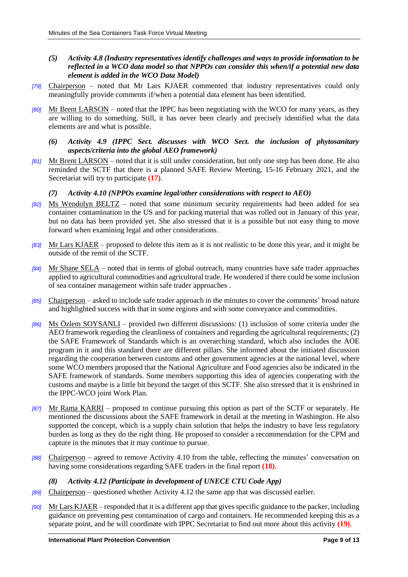- *(5) Activity 4.8 (Industry representatives identify challenges and ways to provide information to be reflected in a WCO data model so that NPPOs can consider this when/if a potential new data element is added in the WCO Data Model)*
- *[79]* Chairperson noted that Mr Lars KJAER commented that industry representatives could only meaningfully provide comments if/when a potential data element has been identified.
- *[80]* Mr Brent LARSON noted that the IPPC has been negotiating with the WCO for many years, as they are willing to do something. Still, it has never been clearly and precisely identified what the data elements are and what is possible.
	- *(6) Activity 4.9 (IPPC Sect. discusses with WCO Sect. the inclusion of phytosanitary aspects/criteria into the global AEO framework)*
- *[81]* Mr Brent LARSON noted that it is still under consideration, but only one step has been done. He also reminded the SCTF that there is a planned SAFE Review Meeting, 15-16 February 2021, and the Secretariat will try to participate **[\(17\)](#page-12-8)**.

#### *(7) Activity 4.10 (NPPOs examine legal/other considerations with respect to AEO)*

- *[82]* Ms Wendolyn BELTZ noted that some minimum security requirements had been added for sea container contamination in the US and for packing material that was rolled out in January of this year, but no data has been provided yet. She also stressed that it is a possible but not easy thing to move forward when examining legal and other considerations.
- *[83]* Mr Lars KJAER proposed to delete this item as it is not realistic to be done this year, and it might be outside of the remit of the SCTF.
- *[84]* Mr Shane SELA noted that in terms of global outreach, many countries have safe trader approaches applied to agricultural commodities and agricultural trade. He wondered if there could be some inclusion of sea container management within safe trader approaches .
- *[85]* Chairperson asked to include safe trader approach in the minutes to cover the comments' broad nature and highlighted success with that in some regions and with some conveyance and commodities.
- *[86]* Ms Özlem SOYSANLI provided two different discussions: (1) inclusion of some criteria under the AEO framework regarding the cleanliness of containers and regarding the agricultural requirements; (2) the SAFE Framework of Standards which is an overarching standard, which also includes the AOE program in it and this standard there are different pillars. She informed about the initiated discussion regarding the cooperation between customs and other government agencies at the national level, where some WCO members proposed that the National Agriculture and Food agencies also be indicated in the SAFE framework of standards. Some members supporting this idea of agencies cooperating with the customs and maybe is a little bit beyond the target of this SCTF. She also stressed that it is enshrined in the IPPC-WCO joint Work Plan.
- *[87]* Mr Rama KARRI proposed to continue pursuing this option as part of the SCTF or separately. He mentioned the discussions about the SAFE framework in detail at the meeting in Washington. He also supported the concept, which is a supply chain solution that helps the industry to have less regulatory burden as long as they do the right thing. He proposed to consider a recommendation for the CPM and capture in the minutes that it may continue to pursue.
- *[88]* Chairperson agreed to remove Activity 4.10 from the table, reflecting the minutes' conversation on having some considerations regarding SAFE traders in the final report **[\(18\)](#page-12-9)**.
	- *(8) Activity 4.12 (Participate in development of UNECE CTU Code App)*
- *[89]* Chairperson questioned whether Activity 4.12 the same app that was discussed earlier.
- *[90]* Mr Lars KJAER responded that it is a different app that gives specific guidance to the packer, including guidance on preventing pest contamination of cargo and containers. He recommended keeping this as a separate point, and he will coordinate with IPPC Secretariat to find out more about this activity **[\(19\)](#page-12-10)**.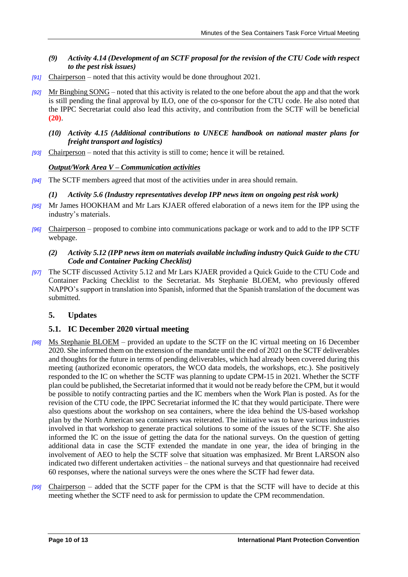- *(9) Activity 4.14 (Development of an SCTF proposal for the revision of the CTU Code with respect to the pest risk issues)*
- *[91]* Chairperson noted that this activity would be done throughout 2021.
- *[92]* Mr Bingbing SONG noted that this activity is related to the one before about the app and that the work is still pending the final approval by ILO, one of the co-sponsor for the CTU code. He also noted that the IPPC Secretariat could also lead this activity, and contribution from the SCTF will be beneficial **[\(20\)](#page-12-11)**.
	- *(10) Activity 4.15 (Additional contributions to UNECE handbook on national master plans for freight transport and logistics)*
- *[93]* Chairperson noted that this activity is still to come; hence it will be retained.

### *Output/Work Area V – Communication activities*

*[94]* The SCTF members agreed that most of the activities under in area should remain.

### *(1) Activity 5.6 (Industry representatives develop IPP news item on ongoing pest risk work)*

- *[95]* Mr James HOOKHAM and Mr Lars KJAER offered elaboration of a news item for the IPP using the industry's materials.
- *[96]* Chairperson proposed to combine into communications package or work and to add to the IPP SCTF webpage.
	- *(2) Activity 5.12 (IPP news item on materials available including industry Quick Guide to the CTU Code and Container Packing Checklist)*
- *[97]* The SCTF discussed Activity 5.12 and Mr Lars KJAER provided a Quick Guide to the CTU Code and Container Packing Checklist to the Secretariat. Ms Stephanie BLOEM, who previously offered NAPPO's support in translation into Spanish, informed that the Spanish translation of the document was submitted.

# **5. Updates**

# **5.1. IC December 2020 virtual meeting**

- *[98]* Ms Stephanie BLOEM provided an update to the SCTF on the IC virtual meeting on 16 December 2020. She informed them on the extension of the mandate until the end of 2021 on the SCTF deliverables and thoughts for the future in terms of pending deliverables, which had already been covered during this meeting (authorized economic operators, the WCO data models, the workshops, etc.). She positively responded to the IC on whether the SCTF was planning to update CPM-15 in 2021. Whether the SCTF plan could be published, the Secretariat informed that it would not be ready before the CPM, but it would be possible to notify contracting parties and the IC members when the Work Plan is posted. As for the revision of the CTU code, the IPPC Secretariat informed the IC that they would participate. There were also questions about the workshop on sea containers, where the idea behind the US-based workshop plan by the North American sea containers was reiterated. The initiative was to have various industries involved in that workshop to generate practical solutions to some of the issues of the SCTF. She also informed the IC on the issue of getting the data for the national surveys. On the question of getting additional data in case the SCTF extended the mandate in one year, the idea of bringing in the involvement of AEO to help the SCTF solve that situation was emphasized. Mr Brent LARSON also indicated two different undertaken activities – the national surveys and that questionnaire had received 60 responses, where the national surveys were the ones where the SCTF had fewer data.
- *[99]* Chairperson added that the SCTF paper for the CPM is that the SCTF will have to decide at this meeting whether the SCTF need to ask for permission to update the CPM recommendation.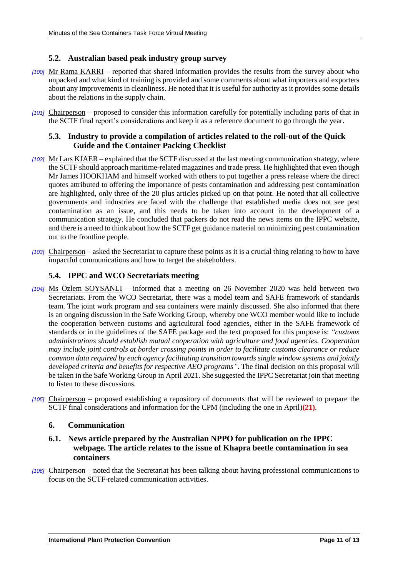### **5.2. Australian based peak industry group survey**

- *[100]* Mr Rama KARRI reported that shared information provides the results from the survey about who unpacked and what kind of training is provided and some comments about what importers and exporters about any improvements in cleanliness. He noted that it is useful for authority as it provides some details about the relations in the supply chain.
- *[101]* Chairperson proposed to consider this information carefully for potentially including parts of that in the SCTF final report's considerations and keep it as a reference document to go through the year.

### **5.3. Industry to provide a compilation of articles related to the roll-out of the Quick Guide and the Container Packing Checklist**

- *[102]* Mr Lars KJAER explained that the SCTF discussed at the last meeting communication strategy, where the SCTF should approach maritime-related magazines and trade press. He highlighted that even though Mr James HOOKHAM and himself worked with others to put together a press release where the direct quotes attributed to offering the importance of pests contamination and addressing pest contamination are highlighted, only three of the 20 plus articles picked up on that point. He noted that all collective governments and industries are faced with the challenge that established media does not see pest contamination as an issue, and this needs to be taken into account in the development of a communication strategy. He concluded that packers do not read the news items on the IPPC website, and there is a need to think about how the SCTF get guidance material on minimizing pest contamination out to the frontline people.
- *[103]* Chairperson asked the Secretariat to capture these points as it is a crucial thing relating to how to have impactful communications and how to target the stakeholders.

### **5.4. IPPC and WCO Secretariats meeting**

- *[104]* Ms Özlem SOYSANLI informed that a meeting on 26 November 2020 was held between two Secretariats. From the WCO Secretariat, there was a model team and SAFE framework of standards team. The joint work program and sea containers were mainly discussed. She also informed that there is an ongoing discussion in the Safe Working Group, whereby one WCO member would like to include the cooperation between customs and agricultural food agencies, either in the SAFE framework of standards or in the guidelines of the SAFE package and the text proposed for this purpose is: *"customs administrations should establish mutual cooperation with agriculture and food agencies. Cooperation may include joint controls at border crossing points in order to facilitate customs clearance or reduce common data required by each agency facilitating transition towards single window systems and jointly developed criteria and benefits for respective AEO programs"*. The final decision on this proposal will be taken in the Safe Working Group in April 2021. She suggested the IPPC Secretariat join that meeting to listen to these discussions.
- *[105]* Chairperson proposed establishing a repository of documents that will be reviewed to prepare the SCTF final considerations and information for the CPM (including the one in April)**[\(21\)](#page-12-12)**.

#### **6. Communication**

- **6.1. News article prepared by the Australian NPPO for publication on the IPPC webpage. The article relates to the issue of Khapra beetle contamination in sea containers**
- *[106]* Chairperson noted that the Secretariat has been talking about having professional communications to focus on the SCTF-related communication activities.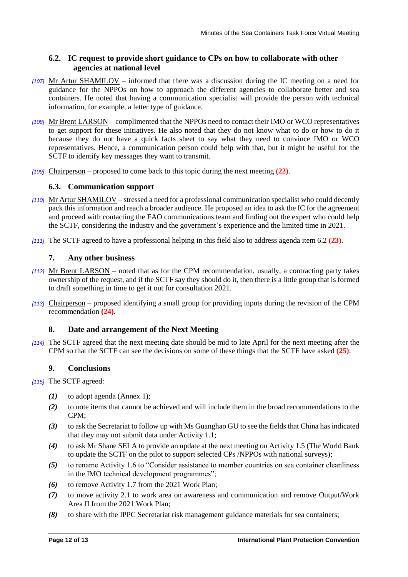# **6.2. IC request to provide short guidance to CPs on how to collaborate with other agencies at national level**

- *[107]* Mr Artur SHAMILOV informed that there was a discussion during the IC meeting on a need for guidance for the NPPOs on how to approach the different agencies to collaborate better and sea containers. He noted that having a communication specialist will provide the person with technical information, for example, a letter type of guidance.
- *[108]* Mr Brent LARSON complimented that the NPPOs need to contact their IMO or WCO representatives to get support for these initiatives. He also noted that they do not know what to do or how to do it because they do not have a quick facts sheet to say what they need to convince IMO or WCO representatives. Hence, a communication person could help with that, but it might be useful for the SCTF to identify key messages they want to transmit.
- *[109]* Chairperson proposed to come back to this topic during the next meeting **[\(22\)](#page-12-13)**.

# **6.3. Communication support**

- *[110]* Mr Artur SHAMILOV stressed a need for a professional communication specialist who could decently pack this information and reach a broader audience. He proposed an idea to ask the IC for the agreement and proceed with contacting the FAO communications team and finding out the expert who could help the SCTF, considering the industry and the government's experience and the limited time in 2021.
- *[111]* The SCTF agreed to have a professional helping in this field also to address agenda item 6.2 **[\(23\)](#page-12-14)**.

# **7. Any other business**

- *[112]* Mr Brent LARSON noted that as for the CPM recommendation, usually, a contracting party takes ownership of the request, and if the SCTF say they should do it, then there is a little group that is formed to draft something in time to get it out for consultation 2021.
- *[113]* Chairperson proposed identifying a small group for providing inputs during the revision of the CPM recommendation **[\(24\)](#page-12-15)**.

# **8. Date and arrangement of the Next Meeting**

*[114]* The SCTF agreed that the next meeting date should be mid to late April for the next meeting after the CPM so that the SCTF can see the decisions on some of these things that the SCTF have asked **[\(25\)](#page-12-16)**.

# **9. Conclusions**

*[115]* The SCTF agreed:

- <span id="page-11-0"></span>*(1)* to adopt agenda (Annex 1);
- <span id="page-11-1"></span>*(2)* to note items that cannot be achieved and will include them in the broad recommendations to the CPM;
- <span id="page-11-2"></span>*(3)* to ask the Secretariat to follow up with Ms Guanghao GU to see the fields that China has indicated that they may not submit data under Activity 1.1;
- <span id="page-11-3"></span>*(4)* to ask Mr Shane SELA to provide an update at the next meeting on Activity 1.5 (The World Bank to update the SCTF on the pilot to support selected CPs /NPPOs with national surveys);
- <span id="page-11-4"></span>*(5)* to rename Activity 1.6 to "Consider assistance to member countries on sea container cleanliness in the IMO technical development programmes";
- <span id="page-11-5"></span>*(6)* to remove Activity 1.7 from the 2021 Work Plan;
- <span id="page-11-6"></span>*(7)* to move activity 2.1 to work area on awareness and communication and remove Output/Work Area II from the 2021 Work Plan;
- <span id="page-11-7"></span>*(8)* to share with the IPPC Secretariat risk management guidance materials for sea containers;